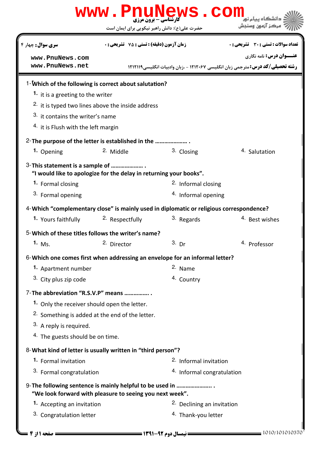| www.PnuNews.com                                                                                                      |                                                  |                                   |                                                                                       |  |  |
|----------------------------------------------------------------------------------------------------------------------|--------------------------------------------------|-----------------------------------|---------------------------------------------------------------------------------------|--|--|
|                                                                                                                      | حضرت علی(ع): دانش راهبر نیکویی برای ایمان است    |                                   | مركز آزمون وسنجش                                                                      |  |  |
| <b>سری سوال :</b> چهار ۴                                                                                             | <b>زمان آزمون (دقیقه) : تستی : 75 تشریحی : 0</b> |                                   | <b>تعداد سوالات : تستی : 30 ٪ تشریحی : 0</b>                                          |  |  |
| www.PnuNews.com                                                                                                      |                                                  |                                   | <b>عنـــوان درس:</b> نامه نگاری                                                       |  |  |
| www.PnuNews.net                                                                                                      |                                                  |                                   | <b>رشته تحصیلی/کد درس:</b> مترجمی زبان انگلیسی ۱۲۱۲۰۶۷ - ،زبان وادبیات انگلیسی1۲۱۲۱۱۹ |  |  |
| 1-Which of the following is correct about salutation?                                                                |                                                  |                                   |                                                                                       |  |  |
| 1. it is a greeting to the writer                                                                                    |                                                  |                                   |                                                                                       |  |  |
| <sup>2.</sup> it is typed two lines above the inside address                                                         |                                                  |                                   |                                                                                       |  |  |
| 3. it contains the writer's name                                                                                     |                                                  |                                   |                                                                                       |  |  |
| <sup>4.</sup> it is Flush with the left margin                                                                       |                                                  |                                   |                                                                                       |  |  |
| 2- The purpose of the letter is established in the                                                                   |                                                  |                                   |                                                                                       |  |  |
| 1. Opening                                                                                                           | 2. Middle                                        | 3. Closing                        | 4. Salutation                                                                         |  |  |
| 3-This statement is a sample of                                                                                      |                                                  |                                   |                                                                                       |  |  |
| "I would like to apologize for the delay in returning your books".                                                   |                                                  |                                   |                                                                                       |  |  |
| 1. Formal closing                                                                                                    |                                                  | <sup>2.</sup> Informal closing    |                                                                                       |  |  |
| 3. Formal opening                                                                                                    |                                                  | 4. Informal opening               |                                                                                       |  |  |
| 4-Which "complementary close" is mainly used in diplomatic or religious correspondence?                              |                                                  |                                   |                                                                                       |  |  |
| 1. Yours faithfully                                                                                                  | <sup>2.</sup> Respectfully                       | 3. Regards                        | 4. Best wishes                                                                        |  |  |
| 5-Which of these titles follows the writer's name?                                                                   |                                                  |                                   |                                                                                       |  |  |
| 1. $Ms.$                                                                                                             | <sup>2.</sup> Director                           | $3.$ Dr                           | <sup>4.</sup> Professor                                                               |  |  |
| 6-Which one comes first when addressing an envelope for an informal letter?                                          |                                                  |                                   |                                                                                       |  |  |
| 1. Apartment number                                                                                                  |                                                  | 2. Name                           |                                                                                       |  |  |
| 3. City plus zip code                                                                                                |                                                  | 4. Country                        |                                                                                       |  |  |
| 7-The abbreviation "R.S.V.P" means                                                                                   |                                                  |                                   |                                                                                       |  |  |
| 1. Only the receiver should open the letter.                                                                         |                                                  |                                   |                                                                                       |  |  |
| <sup>2.</sup> Something is added at the end of the letter.                                                           |                                                  |                                   |                                                                                       |  |  |
| 3. A reply is required.                                                                                              |                                                  |                                   |                                                                                       |  |  |
| <sup>4.</sup> The guests should be on time.                                                                          |                                                  |                                   |                                                                                       |  |  |
| 8-What kind of letter is usually written in "third person"?                                                          |                                                  |                                   |                                                                                       |  |  |
| 1. Formal invitation                                                                                                 |                                                  | <sup>2.</sup> Informal invitation |                                                                                       |  |  |
| 3. Formal congratulation                                                                                             |                                                  | 4. Informal congratulation        |                                                                                       |  |  |
| 9-The following sentence is mainly helpful to be used in<br>"We look forward with pleasure to seeing you next week". |                                                  |                                   |                                                                                       |  |  |
| 1. Accepting an invitation                                                                                           |                                                  | 2. Declining an invitation        |                                                                                       |  |  |
| 3. Congratulation letter                                                                                             |                                                  | <sup>4.</sup> Thank-you letter    |                                                                                       |  |  |
|                                                                                                                      |                                                  |                                   |                                                                                       |  |  |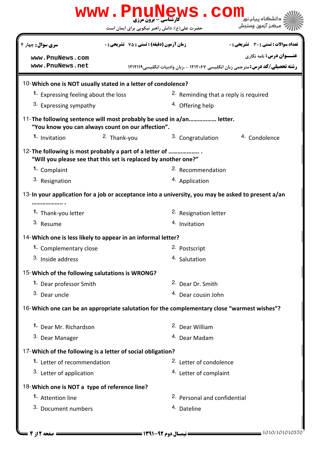| <b>www.PnuNews.com</b>                                                                                                      |                                                    |                                               |                                                                                        |  |  |  |
|-----------------------------------------------------------------------------------------------------------------------------|----------------------------------------------------|-----------------------------------------------|----------------------------------------------------------------------------------------|--|--|--|
|                                                                                                                             |                                                    | حضرت علی(ع): دانش راهبر نیکویی برای ایمان است | مركز آزمون وسنجش                                                                       |  |  |  |
| <b>سری سوال :</b> چهار ۴                                                                                                    | <b>زمان آزمون (دقیقه) : تستی : 75 ٪ تشریحی : 0</b> |                                               | <b>تعداد سوالات : تستی : 30 ٪ تشریحی : 0</b>                                           |  |  |  |
| www.PnuNews.com                                                                                                             |                                                    |                                               | <b>عنـــوان درس:</b> نامه نگاری                                                        |  |  |  |
| www.PnuNews.net                                                                                                             |                                                    |                                               | <b>رشته تحصیلی/کد درس: مترجمی زبان انگلیسی ۱۲۱۲۰۶۷ - ،زبان وادبیات انگلیسی ۱۲۱۲۱۱۹</b> |  |  |  |
| 10-Which one is NOT usually stated in a letter of condolence?                                                               |                                                    |                                               |                                                                                        |  |  |  |
| 1. Expressing feeling about the loss                                                                                        |                                                    |                                               | <sup>2.</sup> Reminding that a reply is required                                       |  |  |  |
| 3. Expressing sympathy                                                                                                      |                                                    | <sup>4.</sup> Offering help                   |                                                                                        |  |  |  |
| 11-The following sentence will most probably be used in a/an letter.<br>"You know you can always count on our affection".   |                                                    |                                               |                                                                                        |  |  |  |
| 1. Invitation                                                                                                               | <sup>2.</sup> Thank-you                            | 3. Congratulation                             | <sup>4.</sup> Condolence                                                               |  |  |  |
| 12- The following is most probably a part of a letter of<br>"Will you please see that this set is replaced by another one?" |                                                    |                                               |                                                                                        |  |  |  |
| 1. Complaint                                                                                                                |                                                    | <sup>2.</sup> Recommendation                  |                                                                                        |  |  |  |
| 3. Resignation                                                                                                              |                                                    | 4. Application                                |                                                                                        |  |  |  |
| 13-In your application for a job or acceptance into a university, you may be asked to present a/an                          |                                                    |                                               |                                                                                        |  |  |  |
| 1. Thank-you letter                                                                                                         |                                                    | <sup>2.</sup> Resignation letter              |                                                                                        |  |  |  |
| 3. Resume                                                                                                                   |                                                    | <sup>4.</sup> Invitation                      |                                                                                        |  |  |  |
| 14- Which one is less likely to appear in an informal letter?                                                               |                                                    |                                               |                                                                                        |  |  |  |
| 1. Complementary close                                                                                                      |                                                    | 2. Postscript                                 |                                                                                        |  |  |  |
| 3. Inside address                                                                                                           |                                                    | 4. Salutation                                 |                                                                                        |  |  |  |
| 15-Which of the following salutations is WRONG?                                                                             |                                                    |                                               |                                                                                        |  |  |  |
| 1. Dear professor Smith                                                                                                     |                                                    | <sup>2.</sup> Dear Dr. Smith                  |                                                                                        |  |  |  |
| 3. Dear uncle                                                                                                               |                                                    | <sup>4.</sup> Dear cousin John                |                                                                                        |  |  |  |
| 16-Which one can be an appropriate salutation for the complementary close "warmest wishes"?                                 |                                                    |                                               |                                                                                        |  |  |  |
| 1. Dear Mr. Richardson                                                                                                      |                                                    | <sup>2.</sup> Dear William                    |                                                                                        |  |  |  |
| 3. Dear Manager                                                                                                             |                                                    | <sup>4.</sup> Dear Madam                      |                                                                                        |  |  |  |
| 17-Which of the following is a letter of social obligation?                                                                 |                                                    |                                               |                                                                                        |  |  |  |
| 1. Letter of recommendation                                                                                                 |                                                    | <sup>2.</sup> Letter of condolence            |                                                                                        |  |  |  |
| 3. Letter of application                                                                                                    |                                                    | <sup>4.</sup> Letter of complaint             |                                                                                        |  |  |  |
| 18-Which one is NOT a type of reference line?                                                                               |                                                    |                                               |                                                                                        |  |  |  |
| 1. Attention line                                                                                                           |                                                    | <sup>2.</sup> Personal and confidential       |                                                                                        |  |  |  |
| 3. Document numbers                                                                                                         |                                                    | 4. Dateline                                   |                                                                                        |  |  |  |
|                                                                                                                             |                                                    |                                               |                                                                                        |  |  |  |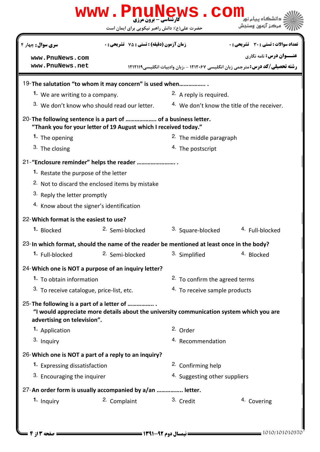## WWW.PnuNews.Com كارشناسي - برون مرزي ركز آزمون وسنجش حضرت علي(ع): دانش راهبر نيكويي براي ايمان است تعداد سوالات : تستي تشريحي زمان آزمون (دقيقه) : تستي تشريحي سري سوال " #\$ &: '( : & %&: : : **عنـــوان درس:** نامه نگاری **[www.PnuNews.com](http://pnunews.com) [www.PnuNews.net](http://www.PnuNews.net)رشته تحصیلی/کد درس: متر**جمی زبان انگلیسی ۱۲۱۲۰۶۷ - ،زبان وادبیات انگلیسی1۲۱۱۱۹ 19-The salutation "to whom it may concern" is used when.................. 1. We are writing to a company. **2.** A reply is required. 4. We don't know the title of the receiver. <sup>3.</sup> We don't know who should read our letter. 20-The following sentence is a part of ..................... of a business letter. "Thank you for your letter of 19 August which I received today." 2. The middle paragraph **1.** The opening 3. The closing 4. The postscript 21-"Enclosure reminder" helps the reader .......................... 1. Restate the purpose of the letter 2. Not to discard the enclosed items by mistake 3. Reply the letter promptly 4. Know about the signer's identification Which format is the easiest to use? 22- 1. Blocked <sup>2.</sup> Semi-blocked <sup>3.</sup> Square-blocked <sup>4.</sup> Full-blocked 23-In which format, should the name of the reader be mentioned at least once in the body? 1. Full-blocked <sup>2.</sup> Semi-blocked <sup>3.</sup> Simplified <sup>4.</sup> Blocked Which one is NOT a purpose of an inquiry letter? 24- **1.** To obtain information  $2.$  To confirm the agreed terms <sup>3.</sup> To receive catalogue, price-list, etc.  $\frac{4}{10}$  To receive sample products 25-The following is a part of a letter of ................. "I would appreciate more details about the university communication system which you are advertising on television". **1.** Application **1.** 2. Order 3. Inquiry 4. Recommendation 26-Which one is NOT a part of a reply to an inquiry? **1.** Expressing dissatisfaction **1.** 2. Confirming help 4. Suggesting other suppliers 3. Encouraging the inquirer 27-An order form is usually accompanied by a/an ................. letter. 1. Inquiry **2. Complaint** 2. Complaint 3. Credit 4. Covering